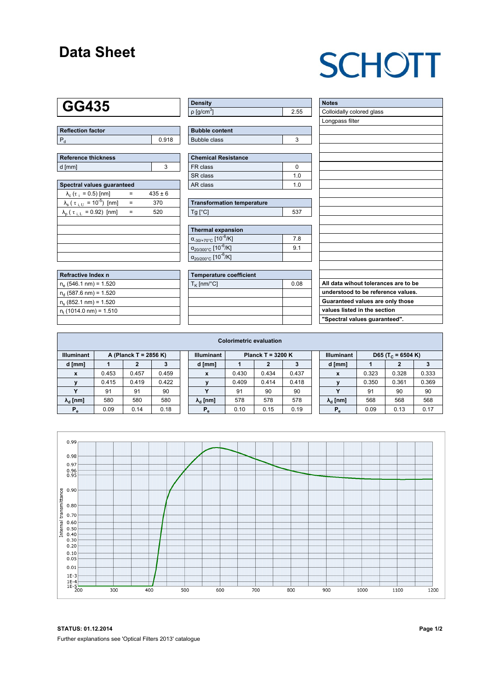### **Data Sheet**

# **SCHOTT**

### **GG435**

| Reflection factor |       |
|-------------------|-------|
|                   | 0.918 |

| Reference thickness |  |  |  |  |  |  |
|---------------------|--|--|--|--|--|--|
| d [mm]              |  |  |  |  |  |  |

| Spectral values quaranteed                                     |     |             |  |  |  |  |  |  |  |  |
|----------------------------------------------------------------|-----|-------------|--|--|--|--|--|--|--|--|
| $\lambda_c$ ( $\tau_i$ = 0.5) [nm]                             |     | $435 \pm 6$ |  |  |  |  |  |  |  |  |
| $\lambda_{\rm s}$ ( $\tau_{\rm i,U}$ = 10 <sup>-5</sup> ) [nm] | $=$ | 370         |  |  |  |  |  |  |  |  |
| $\lambda_{\rm p}$ ( $\tau_{\rm i, L}$ = 0.92) [nm]             |     | 520         |  |  |  |  |  |  |  |  |
|                                                                |     |             |  |  |  |  |  |  |  |  |
|                                                                |     |             |  |  |  |  |  |  |  |  |
|                                                                |     |             |  |  |  |  |  |  |  |  |
|                                                                |     |             |  |  |  |  |  |  |  |  |
|                                                                |     |             |  |  |  |  |  |  |  |  |

| Refractive Index n              |  |
|---------------------------------|--|
| $n_e$ (546.1 nm) = 1.520        |  |
| $n_{d}$ (587.6 nm) = 1.520      |  |
| $n_s$ (852.1 nm) = 1.520        |  |
| $n_{\rm t}$ (1014.0 nm) = 1.510 |  |
|                                 |  |

| <b>Density</b>              |  |
|-----------------------------|--|
| $\rho$ [g/cm <sup>3</sup> ] |  |

| <b>Bubble content</b> |  |
|-----------------------|--|
| Bubble class          |  |

| Chemical Resistance |     |  |  |  |  |  |
|---------------------|-----|--|--|--|--|--|
| FR class            |     |  |  |  |  |  |
| SR class            | 1 በ |  |  |  |  |  |
| l AR class          | 1 በ |  |  |  |  |  |

| <b>Transformation temperature</b> |     |  |  |  |  |  |
|-----------------------------------|-----|--|--|--|--|--|
| $Ta$ $C1$                         | 537 |  |  |  |  |  |

| Thermal expansion                                 |     |  |  |  |  |  |  |
|---------------------------------------------------|-----|--|--|--|--|--|--|
| $\alpha_{-30/+70\degree}$ c [10 <sup>-6</sup> /K] | 7.8 |  |  |  |  |  |  |
| $\alpha_{20/300^{\circ}C}$ [10 $^{-6}$ /K]        | 9.1 |  |  |  |  |  |  |
| $\alpha_{20/200^{\circ}C}$ [10 <sup>-6</sup> /K]  |     |  |  |  |  |  |  |

| Temperature coefficient |      |  |  |  |  |  |  |
|-------------------------|------|--|--|--|--|--|--|
| $T_{\rm K}$ [nm/°C]     | 0.08 |  |  |  |  |  |  |
|                         |      |  |  |  |  |  |  |
|                         |      |  |  |  |  |  |  |
|                         |      |  |  |  |  |  |  |
|                         |      |  |  |  |  |  |  |

| <b>Notes</b>                         |
|--------------------------------------|
| Colloidally colored glass            |
| Longpass filter                      |
|                                      |
|                                      |
|                                      |
|                                      |
|                                      |
|                                      |
|                                      |
|                                      |
|                                      |
|                                      |
|                                      |
|                                      |
|                                      |
|                                      |
|                                      |
|                                      |
|                                      |
| All data wihout tolerances are to be |
| understood to be reference values.   |
| Guaranteed values are only those     |
| values listed in the section         |
| "Spectral values guaranteed".        |

| <b>Colorimetric evaluation</b>             |       |       |       |                                          |                        |       |       |       |                   |                        |                               |       |       |
|--------------------------------------------|-------|-------|-------|------------------------------------------|------------------------|-------|-------|-------|-------------------|------------------------|-------------------------------|-------|-------|
| <b>Illuminant</b><br>A (Planck T = 2856 K) |       |       |       | <b>Illuminant</b><br>Planck T = $3200 K$ |                        |       |       |       | <b>Illuminant</b> |                        | D65 (T <sub>c</sub> = 6504 K) |       |       |
| d [mm]                                     |       |       |       |                                          | d [mm]                 |       |       |       |                   | d [mm]                 |                               | 2     |       |
| x                                          | 0.453 | 0.457 | 0.459 |                                          | X                      | 0.430 | 0.434 | 0.437 |                   | X                      | 0.323                         | 0.328 | 0.333 |
| $\mathbf{v}$                               | 0.415 | 0.419 | 0.422 |                                          |                        | 0.409 | 0.414 | 0.418 |                   |                        | 0.350                         | 0.361 | 0.369 |
|                                            | 91    | 91    | 90    |                                          | v                      | 91    | 90    | 90    |                   |                        | 91                            | 90    | 90    |
| $\lambda_{\rm d}$ [nm]                     | 580   | 580   | 580   |                                          | $\lambda_{\rm d}$ [nm] | 578   | 578   | 578   |                   | $\lambda_{\rm d}$ [nm] | 568                           | 568   | 568   |
| $P_e$                                      | 0.09  | 0.14  | 0.18  |                                          | $P_e$                  | 0.10  | 0.15  | 0.19  |                   | $P_e$                  | 0.09                          | 0.13  | 0.17  |



**STATUS: 01.12.2014 Page 1/2** Further explanations see 'Optical Filters 2013' catalogue